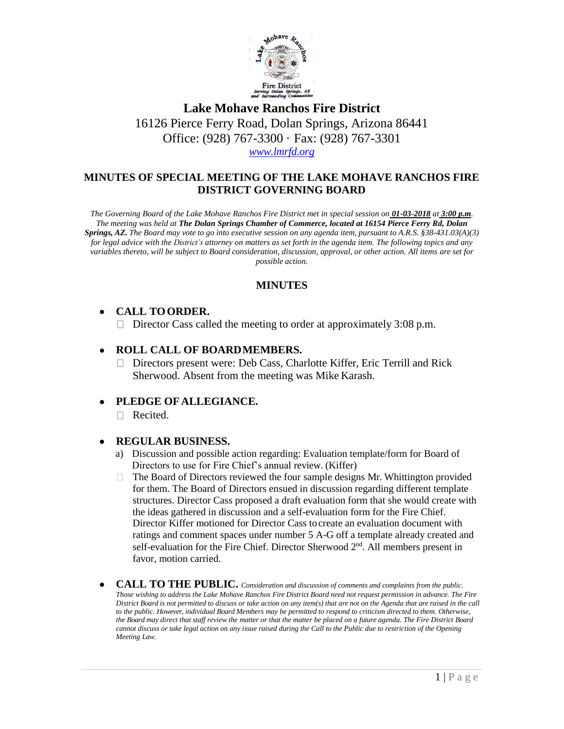

**Lake Mohave Ranchos Fire District** 16126 Pierce Ferry Road, Dolan Springs, Arizona 86441 Office: (928) 767-3300 · Fax: (928) 767-3301 *[www.lmrfd.org](http://www.lmrfd.org/)*

# **MINUTES OF SPECIAL MEETING OF THE LAKE MOHAVE RANCHOS FIRE DISTRICT GOVERNING BOARD**

*The Governing Board of the Lake Mohave Ranchos Fire District met in special session on 01-03-2018 at 3:00 p.m. The meeting was held at The Dolan Springs Chamber of Commerce, located at 16154 Pierce Ferry Rd, Dolan*  **Springs, AZ.** The Board may vote to go into executive session on any agenda item, pursuant to A.R.S. §38-431.03(A)(3) *for legal advice with the District's attorney on matters as set forth in the agenda item. The following topics and any variables thereto, will be subject to Board consideration, discussion, approval, or other action. All items are set for possible action.*

## **MINUTES**

# • **CALL TOORDER.**

 $\Box$  Director Cass called the meeting to order at approximately 3:08 p.m.

# • **ROLL CALL OF BOARDMEMBERS.**

Directors present were: Deb Cass, Charlotte Kiffer, Eric Terrill and Rick Sherwood. Absent from the meeting was Mike Karash.

## • **PLEDGE OF ALLEGIANCE.**

Recited.

## • **REGULAR BUSINESS.**

- a) Discussion and possible action regarding: Evaluation template/form for Board of Directors to use for Fire Chief's annual review. (Kiffer)
- The Board of Directors reviewed the four sample designs Mr. Whittington provided  $\Box$ for them. The Board of Directors ensued in discussion regarding different template structures. Director Cass proposed a draft evaluation form that she would create with the ideas gathered in discussion and a self-evaluation form for the Fire Chief. Director Kiffer motioned for Director Cass tocreate an evaluation document with ratings and comment spaces under number 5 A-G off a template already created and self-evaluation for the Fire Chief. Director Sherwood 2<sup>nd</sup>. All members present in favor, motion carried.
- **CALL TO THE PUBLIC.** *Consideration and discussion of comments and complaints from the public. Those wishing to address the Lake Mohave Ranchos Fire District Board need not request permission in advance. The Fire District Board is not permitted to discuss or take action on any item(s) that are not on the Agenda that are raised in the call to the public. However, individual Board Members may be permitted to respond to criticism directed to them. Otherwise, the Board may direct that staff review the matter or that the matter be placed on a future agenda. The Fire District Board cannot discuss or take legal action on any issue raised during the Call to the Public due to restriction of the Opening Meeting Law.*